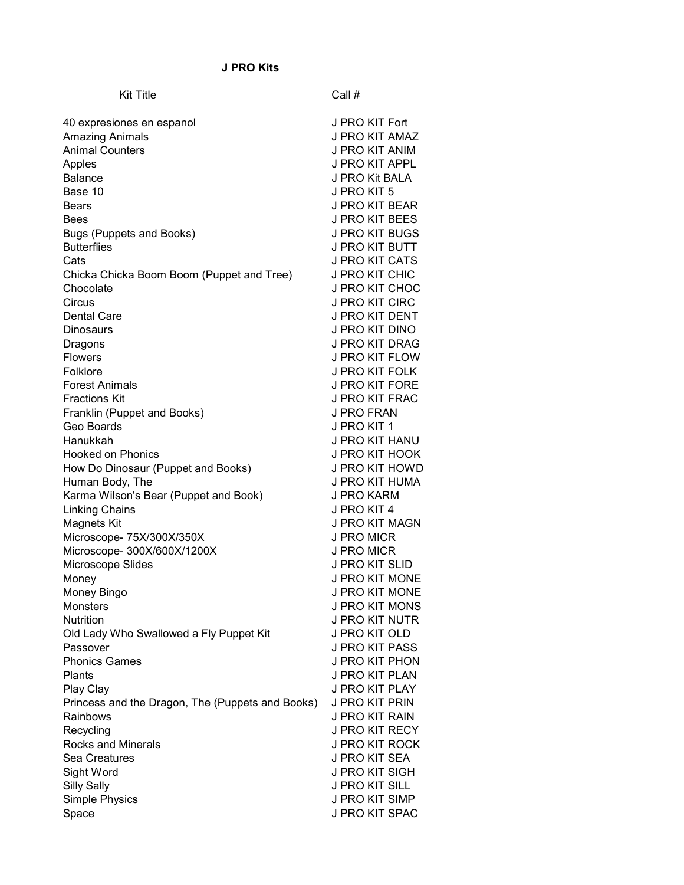## J PRO Kits

| <b>Kit Title</b>                                 | Call #                |
|--------------------------------------------------|-----------------------|
|                                                  |                       |
| 40 expresiones en espanol                        | J PRO KIT Fort        |
| <b>Amazing Animals</b>                           | J PRO KIT AMAZ        |
| <b>Animal Counters</b>                           | J PRO KIT ANIM        |
| Apples                                           | <b>J PRO KIT APPL</b> |
| <b>Balance</b>                                   | J PRO Kit BALA        |
| Base 10                                          | J PRO KIT 5           |
| Bears                                            | J PRO KIT BEAR        |
| Bees                                             | J PRO KIT BEES        |
| Bugs (Puppets and Books)                         | J PRO KIT BUGS        |
| <b>Butterflies</b>                               | J PRO KIT BUTT        |
| Cats                                             | J PRO KIT CATS        |
| Chicka Chicka Boom Boom (Puppet and Tree)        | J PRO KIT CHIC        |
| Chocolate                                        | J PRO KIT CHOC        |
| Circus                                           | J PRO KIT CIRC        |
| <b>Dental Care</b>                               | J PRO KIT DENT        |
| Dinosaurs                                        | J PRO KIT DINO        |
| Dragons                                          | J PRO KIT DRAG        |
| <b>Flowers</b>                                   | J PRO KIT FLOW        |
| Folklore                                         | J PRO KIT FOLK        |
| <b>Forest Animals</b>                            | <b>J PRO KIT FORE</b> |
| <b>Fractions Kit</b>                             | J PRO KIT FRAC        |
| Franklin (Puppet and Books)                      | J PRO FRAN            |
| Geo Boards                                       | J PRO KIT 1           |
| Hanukkah                                         | J PRO KIT HANU        |
| <b>Hooked on Phonics</b>                         | J PRO KIT HOOK        |
| How Do Dinosaur (Puppet and Books)               | J PRO KIT HOWD        |
| Human Body, The                                  | J PRO KIT HUMA        |
| Karma Wilson's Bear (Puppet and Book)            | J PRO KARM            |
| Linking Chains                                   | J PRO KIT 4           |
| <b>Magnets Kit</b>                               | J PRO KIT MAGN        |
| Microscope- 75X/300X/350X                        | J PRO MICR            |
| Microscope- 300X/600X/1200X                      | <b>J PRO MICR</b>     |
| Microscope Slides                                | J PRO KIT SLID        |
| Money                                            | <b>J PRO KIT MONE</b> |
| Money Bingo                                      | J PRO KIT MONE        |
| <b>Monsters</b>                                  | J PRO KIT MONS        |
| Nutrition                                        | <b>J PRO KIT NUTR</b> |
| Old Lady Who Swallowed a Fly Puppet Kit          | J PRO KIT OLD         |
| Passover                                         | J PRO KIT PASS        |
| <b>Phonics Games</b>                             | <b>J PRO KIT PHON</b> |
| Plants                                           | J PRO KIT PLAN        |
| Play Clay                                        | J PRO KIT PLAY        |
| Princess and the Dragon, The (Puppets and Books) | J PRO KIT PRIN        |
| Rainbows                                         | J PRO KIT RAIN        |
| Recycling                                        | <b>J PRO KIT RECY</b> |
| Rocks and Minerals                               | J PRO KIT ROCK        |
| Sea Creatures                                    | J PRO KIT SEA         |
| Sight Word                                       | <b>J PRO KIT SIGH</b> |
| <b>Silly Sally</b>                               | <b>J PRO KIT SILL</b> |
| Simple Physics                                   | <b>J PRO KIT SIMP</b> |
| Space                                            | J PRO KIT SPAC        |